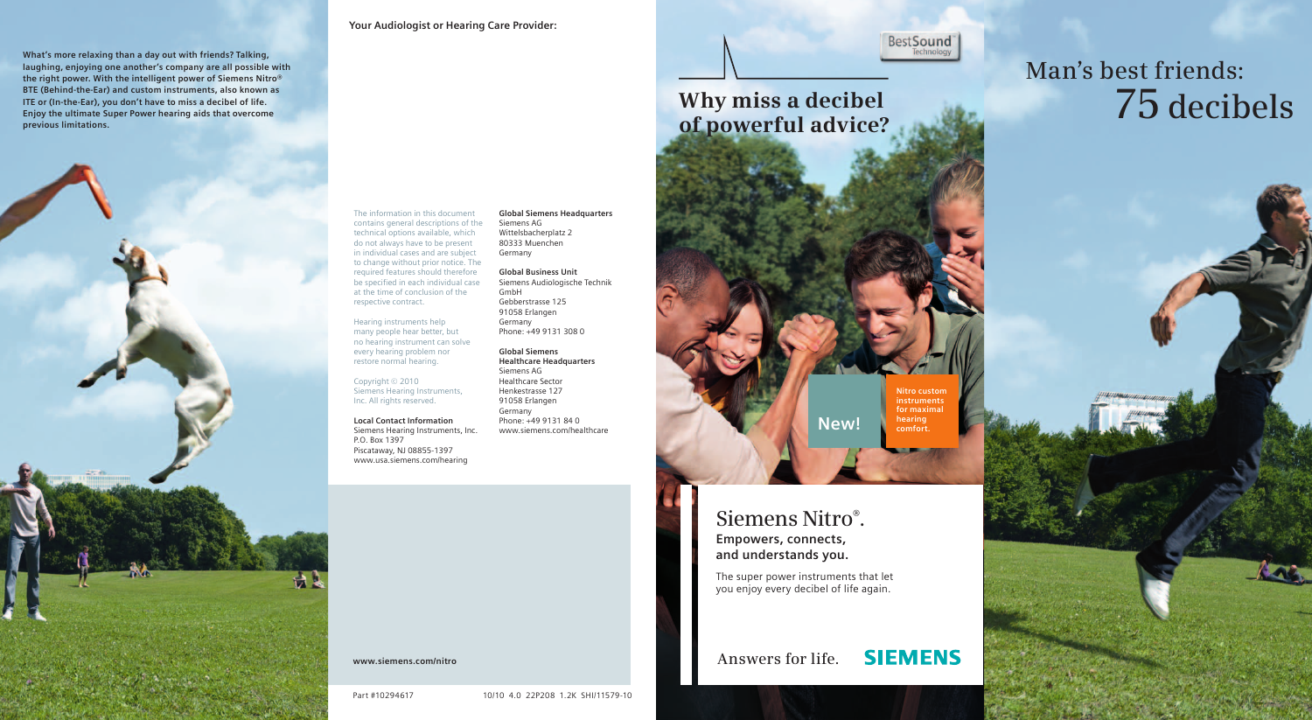**Your Audiologist or Hearing Care Provider:**

**What's more relaxing than a day out with friends? Talking,**  laughing, enjoying one another's company are all possible with **the right power. With the intelligent power of Siemens Nitro® BTE (Behind-the-Ear) and custom instruments, also known as ITE or (In-the-Ear), you don't have to miss a decibel of life. Enjoy the ultimate Super Power hearing aids that overcome previous limitations.**



The information in this document contains general descriptions of the technical options available, which do not always have to be present in individual cases and are subject to change without prior notice. The required features should therefore be specified in each individual case at the time of conclusion of the respective contract.

Hearing instruments help many people hear better, but no hearing instrument can solve every hearing problem nor restore normal hearing.

Copyright © 2010 Siemens Hearing Instruments, Inc. All rights reserved.

**Local Contact Information** Siemens Hearing Instruments, Inc. P.O. Box 1397 Piscataway, NJ 08855-1397 www.usa.siemens.com/hearing

**Global Siemens Headquarters** Siemens AG Wittelsbacherplatz 2 80333 Muenchen Germany

**Global Business Unit** Siemens Audiologische Technik GmbH Gebberstrasse 125 91058 Erlangen Germany Phone: +49 9131 308 0

**Global Siemens Healthcare Headquarters** Siemens AG Healthcare Sector Henkestrasse 127 91058 Erlangen Germany Phone: +49 9131 84 0 www.siemens.com/healthcare

**www.siemens.com/nitro**

Part #10294617

10/10 4.0 22P208 1.2K SHI/11579-10

**BestSound** Technology

# **Why miss a decibel 75 decibels of powerful advice?**

**Nitro custom instruments for maximal hearing comfort.**

#### **Siemens Nitro® .**

**Empowers, connects, and understands you.**

The super power instruments that let you enjoy every decibel of life again.

**New!**

**Answers for life.**

**SIEMENS** 

**Man's best friends:**